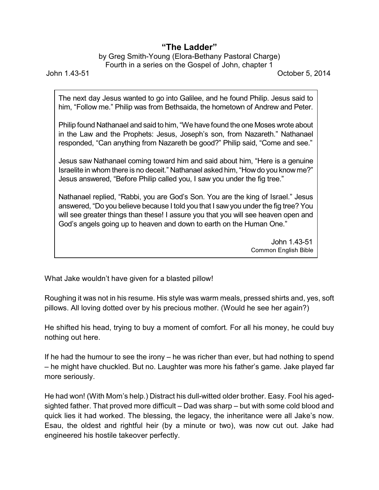## **"The Ladder"**

## by Greg Smith-Young (Elora-Bethany Pastoral Charge) Fourth in a series on the Gospel of John, chapter 1

John 1.43-51 October 5, 2014

The next day Jesus wanted to go into Galilee, and he found Philip. Jesus said to him, "Follow me." Philip was from Bethsaida, the hometown of Andrew and Peter.

Philip found Nathanael and said to him, "We have found the one Moses wrote about in the Law and the Prophets: Jesus, Joseph's son, from Nazareth." Nathanael responded, "Can anything from Nazareth be good?" Philip said, "Come and see."

Jesus saw Nathanael coming toward him and said about him, "Here is a genuine Israelite in whom there is no deceit." Nathanael asked him, "Howdo you knowme?" Jesus answered, "Before Philip called you, I saw you under the fig tree."

Nathanael replied, "Rabbi, you are God's Son. You are the king of Israel." Jesus answered, "Do you believe because I told you that I saw you under the fig tree? You will see greater things than these! I assure you that you will see heaven open and God's angels going up to heaven and down to earth on the Human One."

> John 1.43-51 Common English Bible

What Jake wouldn't have given for a blasted pillow!

Roughing it was not in his resume. His style was warm meals, pressed shirts and, yes, soft pillows. All loving dotted over by his precious mother. (Would he see her again?)

He shifted his head, trying to buy a moment of comfort. For all his money, he could buy nothing out here.

If he had the humour to see the irony – he was richer than ever, but had nothing to spend – he might have chuckled. But no. Laughter was more his father's game. Jake played far more seriously.

He had won! (With Mom's help.) Distract his dull-witted older brother. Easy. Fool his agedsighted father. That proved more difficult – Dad was sharp – but with some cold blood and quick lies it had worked. The blessing, the legacy, the inheritance were all Jake's now. Esau, the oldest and rightful heir (by a minute or two), was now cut out. Jake had engineered his hostile takeover perfectly.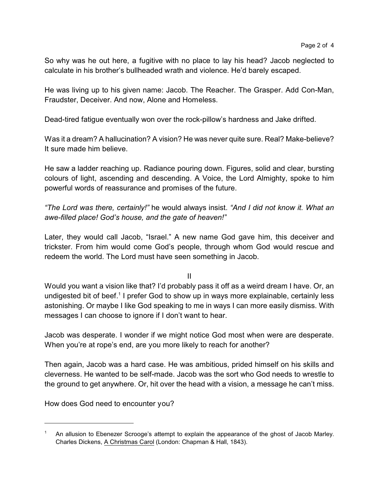So why was he out here, a fugitive with no place to lay his head? Jacob neglected to calculate in his brother's bullheaded wrath and violence. He'd barely escaped.

He was living up to his given name: Jacob. The Reacher. The Grasper. Add Con-Man, Fraudster, Deceiver. And now, Alone and Homeless.

Dead-tired fatigue eventually won over the rock-pillow's hardness and Jake drifted.

Was it a dream? A hallucination? A vision? He was never quite sure. Real? Make-believe? It sure made him believe.

He saw a ladder reaching up. Radiance pouring down. Figures, solid and clear, bursting colours of light, ascending and descending. A Voice, the Lord Almighty, spoke to him powerful words of reassurance and promises of the future.

*"The Lord was there, certainly!"* he would always insist. *"And I did not know it. What an awe-filled place! God's house, and the gate of heaven!*"

Later, they would call Jacob, "Israel." A new name God gave him, this deceiver and trickster. From him would come God's people, through whom God would rescue and redeem the world. The Lord must have seen something in Jacob.

II

Would you want a vision like that? I'd probably pass it off as a weird dream I have. Or, an undigested bit of beef.<sup>1</sup> I prefer God to show up in ways more explainable, certainly less astonishing. Or maybe I like God speaking to me in ways I can more easily dismiss. With messages I can choose to ignore if I don't want to hear.

Jacob was desperate. I wonder if we might notice God most when were are desperate. When you're at rope's end, are you more likely to reach for another?

Then again, Jacob was a hard case. He was ambitious, prided himself on his skills and cleverness. He wanted to be self-made. Jacob was the sort who God needs to wrestle to the ground to get anywhere. Or, hit over the head with a vision, a message he can't miss.

How does God need to encounter you?

<sup>1</sup> An allusion to Ebenezer Scrooge's attempt to explain the appearance of the ghost of Jacob Marley. Charles Dickens, A Christmas Carol (London: Chapman & Hall, 1843).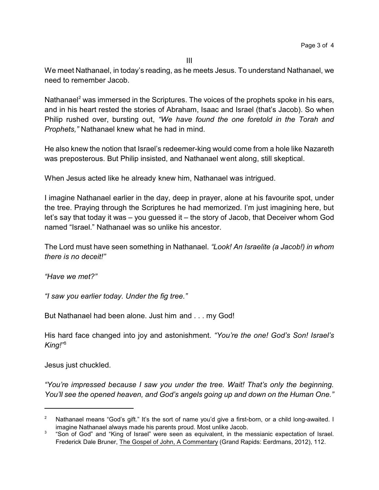III

We meet Nathanael, in today's reading, as he meets Jesus. To understand Nathanael, we need to remember Jacob.

Nathanael<sup>2</sup> was immersed in the Scriptures. The voices of the prophets spoke in his ears, and in his heart rested the stories of Abraham, Isaac and Israel (that's Jacob). So when Philip rushed over, bursting out, *"We have found the one foretold in the Torah and Prophets,"* Nathanael knew what he had in mind.

He also knew the notion that Israel's redeemer-king would come from a hole like Nazareth was preposterous. But Philip insisted, and Nathanael went along, still skeptical.

When Jesus acted like he already knew him, Nathanael was intrigued.

I imagine Nathanael earlier in the day, deep in prayer, alone at his favourite spot, under the tree. Praying through the Scriptures he had memorized. I'm just imagining here, but let's say that today it was – you guessed it – the story of Jacob, that Deceiver whom God named "Israel." Nathanael was so unlike his ancestor.

The Lord must have seen something in Nathanael. *"Look! An Israelite (a Jacob!) in whom there is no deceit!"*

*"Have we met?"*

*"I saw you earlier today. Under the fig tree."*

But Nathanael had been alone. Just him and . . . my God!

His hard face changed into joy and astonishment. *"You're the one! God's Son! Israel's King!"*<sup>3</sup>

Jesus just chuckled.

*"You're impressed because I saw you under the tree. Wait! That's only the beginning. You'll see the opened heaven, and God's angels going up and down on the Human One."*

Nathanael means "God's gift." It's the sort of name you'd give a first-born, or a child long-awaited. I imagine Nathanael always made his parents proud. Most unlike Jacob.

 $3$  "Son of God" and "King of Israel" were seen as equivalent, in the messianic expectation of Israel. Frederick Dale Bruner, The Gospel of John, A Commentary (Grand Rapids: Eerdmans, 2012), 112.